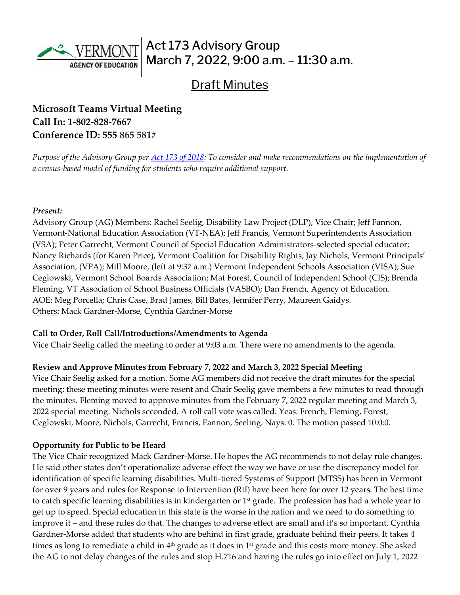

# Act 173 Advisory Group March 7, 2022, 9:00 a.m. – 11:30 a.m.

## **Draft Minutes**

## **Microsoft Teams Virtual Meeting Call In: [1-802-828-7667](about:blank)  Conference ID: 555 865 581#**

*Purpose of the Advisory Group per [Act 173 of 2018:](https://legislature.vermont.gov/Documents/2018/Docs/ACTS/ACT173/ACT173%20As%20Enacted.pdf) To consider and make recommendations on the implementation of a census-based model of funding for students who require additional support.*

#### *Present:*

Advisory Group (AG) Members: Rachel Seelig, Disability Law Project (DLP), Vice Chair; Jeff Fannon, Vermont-National Education Association (VT-NEA); Jeff Francis, Vermont Superintendents Association (VSA); Peter Garrecht, Vermont Council of Special Education Administrators-selected special educator; Nancy Richards (for Karen Price), Vermont Coalition for Disability Rights; Jay Nichols, Vermont Principals' Association, (VPA); Mill Moore, (left at 9:37 a.m.) Vermont Independent Schools Association (VISA); Sue Ceglowski, Vermont School Boards Association; Mat Forest, Council of Independent School (CIS); Brenda Fleming, VT Association of School Business Officials (VASBO); Dan French, Agency of Education. AOE: Meg Porcella; Chris Case, Brad James, Bill Bates, Jennifer Perry, Maureen Gaidys. Others: Mack Gardner-Morse, Cynthia Gardner-Morse

#### **Call to Order, Roll Call/Introductions/Amendments to Agenda**

Vice Chair Seelig called the meeting to order at 9:03 a.m. There were no amendments to the agenda.

#### **Review and Approve Minutes from February 7, 2022 and March 3, 2022 Special Meeting**

Vice Chair Seelig asked for a motion. Some AG members did not receive the draft minutes for the special meeting; these meeting minutes were resent and Chair Seelig gave members a few minutes to read through the minutes. Fleming moved to approve minutes from the February 7, 2022 regular meeting and March 3, 2022 special meeting. Nichols seconded. A roll call vote was called. Yeas: French, Fleming, Forest, Ceglowski, Moore, Nichols, Garrecht, Francis, Fannon, Seeling. Nays: 0. The motion passed 10:0:0.

#### **Opportunity for Public to be Heard**

The Vice Chair recognized Mack Gardner-Morse. He hopes the AG recommends to not delay rule changes. He said other states don't operationalize adverse effect the way we have or use the discrepancy model for identification of specific learning disabilities. Multi-tiered Systems of Support (MTSS) has been in Vermont for over 9 years and rules for Response to Intervention (RtI) have been here for over 12 years. The best time to catch specific learning disabilities is in kindergarten or 1st grade. The profession has had a whole year to get up to speed. Special education in this state is the worse in the nation and we need to do something to improve it – and these rules do that. The changes to adverse effect are small and it's so important. Cynthia Gardner-Morse added that students who are behind in first grade, graduate behind their peers. It takes 4 times as long to remediate a child in 4<sup>th</sup> grade as it does in 1<sup>st</sup> grade and this costs more money. She asked the AG to not delay changes of the rules and stop H.716 and having the rules go into effect on July 1, 2022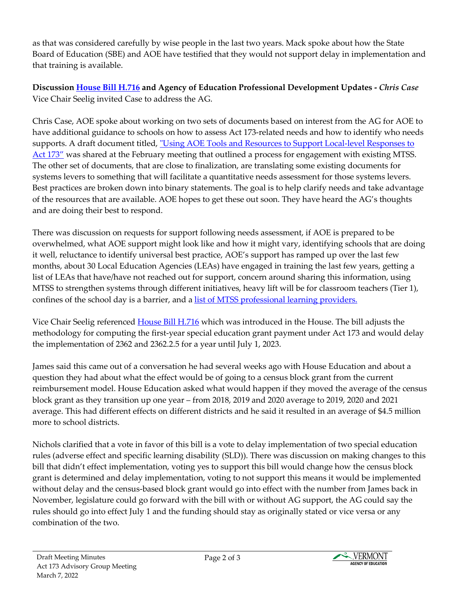as that was considered carefully by wise people in the last two years. Mack spoke about how the State Board of Education (SBE) and AOE have testified that they would not support delay in implementation and that training is available.

**Discussion [House Bill H.716](https://legislature.vermont.gov/Documents/2022/Docs/BILLS/H-0716/H-0716%20As%20Introduced.pdf) and Agency of Education Professional Development Updates -** *Chris Case* Vice Chair Seelig invited Case to address the AG.

Chris Case, AOE spoke about working on two sets of documents based on interest from the AG for AOE to have additional guidance to schools on how to assess Act 173-related needs and how to identify who needs supports. A draft document titled, "Using AOE Tools and Resources to Support Local-level Responses to [Act 173"](https://education.vermont.gov/document/DRAFT-Using%20AOE%20Resources%20to%20Address%20LEA%20173%20Needs-02-07-22) was shared at the February meeting that outlined a process for engagement with existing MTSS. The other set of documents, that are close to finalization, are translating some existing documents for systems levers to something that will facilitate a quantitative needs assessment for those systems levers. Best practices are broken down into binary statements. The goal is to help clarify needs and take advantage of the resources that are available. AOE hopes to get these out soon. They have heard the AG's thoughts and are doing their best to respond.

There was discussion on requests for support following needs assessment, if AOE is prepared to be overwhelmed, what AOE support might look like and how it might vary, identifying schools that are doing it well, reluctance to identify universal best practice, AOE's support has ramped up over the last few months, about 30 Local Education Agencies (LEAs) have engaged in training the last few years, getting a list of LEAs that have/have not reached out for support, concern around sharing this information, using MTSS to strengthen systems through different initiatives, heavy lift will be for classroom teachers (Tier 1), confines of the school day is a barrier, and a [list of MTSS professional learning providers.](https://education.vermont.gov/documents/edu-vtmtss-professional-learning-provider-list) 

Vice Chair Seelig referenced **House Bill H.716** which was introduced in the House. The bill adjusts the methodology for computing the first-year special education grant payment under Act 173 and would delay the implementation of 2362 and 2362.2.5 for a year until July 1, 2023.

James said this came out of a conversation he had several weeks ago with House Education and about a question they had about what the effect would be of going to a census block grant from the current reimbursement model. House Education asked what would happen if they moved the average of the census block grant as they transition up one year – from 2018, 2019 and 2020 average to 2019, 2020 and 2021 average. This had different effects on different districts and he said it resulted in an average of \$4.5 million more to school districts.

Nichols clarified that a vote in favor of this bill is a vote to delay implementation of two special education rules (adverse effect and specific learning disability (SLD)). There was discussion on making changes to this bill that didn't effect implementation, voting yes to support this bill would change how the census block grant is determined and delay implementation, voting to not support this means it would be implemented without delay and the census-based block grant would go into effect with the number from James back in November, legislature could go forward with the bill with or without AG support, the AG could say the rules should go into effect July 1 and the funding should stay as originally stated or vice versa or any combination of the two.